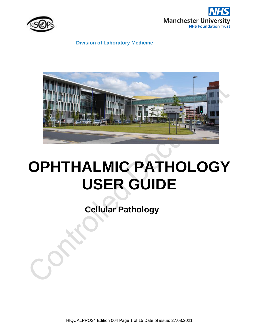





# **OPHTHALMIC PATHOLOGY USER GUIDE**

**Cellular Pathology**

HIQUALPRO24 Edition 004 Page 1 of 15 Date of issue: 27.08.2021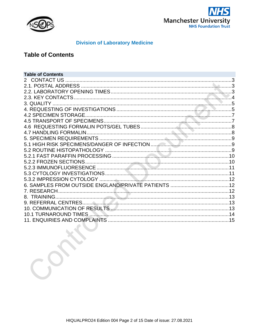



# **Table of Contents**

| <b>Table of Contents</b> |   |
|--------------------------|---|
|                          | 3 |
|                          |   |
|                          |   |
|                          |   |
| 3. QUALITY.              |   |
|                          |   |
|                          |   |
|                          |   |
|                          |   |
|                          |   |
|                          |   |
|                          |   |
|                          |   |
|                          |   |
|                          |   |
|                          |   |
|                          |   |
|                          |   |
|                          |   |
|                          |   |
|                          |   |
|                          |   |
|                          |   |
|                          |   |
|                          |   |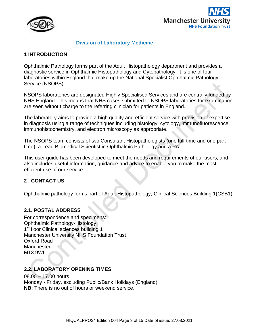



#### **1 INTRODUCTION**

Ophthalmic Pathology forms part of the Adult Histopathology department and provides a diagnostic service in Ophthalmic Histopathology and Cytopathology. It is one of four laboratories within England that make up the National Specialist Ophthalmic Pathology Service (NSOPS).

NSOPS laboratories are designated Highly Specialised Services and are centrally funded by NHS England. This means that NHS cases submitted to NSOPS laboratories for examination are seen without charge to the referring clinician for patients in England.

The laboratory aims to provide a high quality and efficient service with provision of expertise in diagnosis using a range of techniques including histology, cytology, immunofluorescence, immunohistochemistry, and electron microscopy as appropriate.

The NSOPS team consists of two Consultant Histopathologists (one full-time and one parttime), a Lead Biomedical Scientist in Ophthalmic Pathology and a PA.

This user guide has been developed to meet the needs and requirements of our users, and also includes useful information, guidance and advice to enable you to make the most efficient use of our service.

# <span id="page-2-0"></span>**2 CONTACT US**

Ophthalmic pathology forms part of Adult Histopathology, Clinical Sciences Building 1(CSB1)

#### <span id="page-2-1"></span>**2.1. POSTAL ADDRESS**

For correspondence and specimens: Ophthalmic Pathology-Histology 1<sup>st</sup> floor Clinical sciences building 1 Manchester University NHS Foundation Trust Oxford Road **Manchester** M13 9WL

# <span id="page-2-2"></span>**2.2. LABORATORY OPENING TIMES**

08.00 – 17.00 hours Monday - Friday, excluding Public/Bank Holidays (England) **NB:** There is no out of hours or weekend service.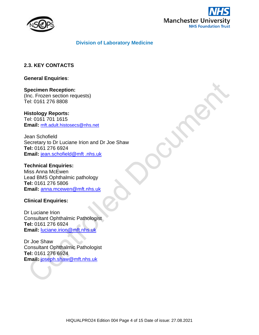



# <span id="page-3-0"></span>**2.3. KEY CONTACTS**

**General Enquiries**:

#### **Specimen Reception:**

(Inc. Frozen section requests) Tel: 0161 276 8808

# **Histology Reports:**

Tel: 0161 701 1615 **Email:** [mft.adult.histosecs@nhs.net](mailto:mft.adult.histosecs@nhs.net)

Jean Schofield Secretary to Dr Luciane Irion and Dr Joe Shaw **Tel:** 0161 276 6924 **Email:** [jean.schofield@mft .nhs.uk](mailto:jean.schofield@mft%20.nhs.uk)

# **Technical Enquiries:**

Miss Anna McEwen Lead BMS Ophthalmic pathology **Tel:** 0161 276 5806 **Email:** [anna.mcewen@mft.nhs.uk](mailto:anna.mcewen@mft.nhs.uk)

# **Clinical Enquiries:**

Dr Luciane Irion Consultant Ophthalmic Pathologist **Tel:** 0161 276 6924 **Email:** [luciane.irion@mft.nhs.uk](mailto:luciane.irion@mft.nhs.uk)

Dr Joe Shaw Consultant Ophthalmic Pathologist **Tel:** 0161 276 6924 **Email:** [joseph.shaw@mft.nhs.uk](mailto:joseph.shaw@mft.nhs.uk)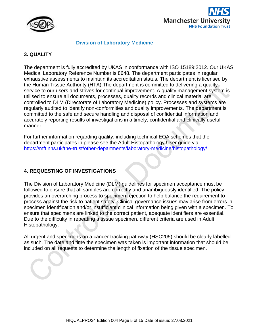



# <span id="page-4-0"></span>**3. QUALITY**

The department is fully accredited by UKAS in conformance with ISO 15189:2012. Our UKAS Medical Laboratory Reference Number is 8648. The department participates in regular exhaustive assessments to maintain its accreditation status. The department is licensed by the Human Tissue Authority (HTA).The department is committed to delivering a quality service to our users and strives for continual improvement. A quality management system is utilised to ensure all documents, processes, quality records and clinical material are controlled to DLM (Directorate of Laboratory Medicine) policy. Processes and systems are regularly audited to identify non-conformities and quality improvements. The department is committed to the safe and secure handling and disposal of confidential information and accurately reporting results of investigations in a timely, confidential and clinically useful manner.

For further information regarding quality, including technical EQA schemes that the department participates in please see the Adult Histopathology User guide via <https://mft.nhs.uk/the-trust/other-departments/laboratory-medicine/histopathology/>

# <span id="page-4-1"></span>**4. REQUESTING OF INVESTIGATIONS**

The Division of Laboratory Medicine (DLM) guidelines for specimen acceptance must be followed to ensure that all samples are correctly and unambiguously identified. The policy provides an overarching process to specimen rejection to help balance the requirement to process against the risk to patient safety. Clinical governance issues may arise from errors in specimen identification and/or insufficient clinical information being given with a specimen. To ensure that specimens are linked to the correct patient, adequate identifiers are essential. Due to the difficulty in repeating a tissue specimen, different criteria are used in Adult Histopathology.

All urgent and specimens on a cancer tracking pathway (HSC205) should be clearly labelled as such. The date and time the specimen was taken is important information that should be included on all requests to determine the length of fixation of the tissue specimen.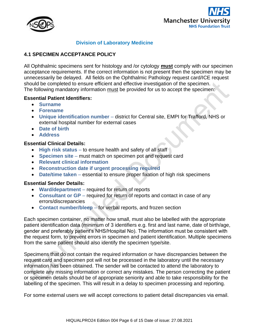



#### **4.1 SPECIMEN ACCEPTANCE POLICY**

All Ophthalmic specimens sent for histology and /or cytology **must** comply with our specimen acceptance requirements. If the correct information is not present then the specimen may be unnecessarily be delayed. All fields on the Ophthalmic Pathology request card/ICE request should be completed to ensure efficient and effective investigation of the specimen. The following mandatory information must be provided for us to accept the specimen:

#### **Essential Patient Identifiers:**

- **Surname**
- **Forename**
- **Unique identification number**  district for Central site, EMPI for Trafford, NHS or external hospital number for external cases
- **Date of birth**
- **Address**

#### **Essential Clinical Details:**

- High risk status to ensure health and safety of all staff
- **Specimen site** must match on specimen pot and request card
- **Relevant clinical information**
- **Reconstruction date if urgent processing required**
- **Date/time taken** essential to ensure proper fixation of high risk specimens

#### **Essential Sender Details:**

- **Ward/department**  required for return of reports
- **Consultant or GP** required for return of reports and contact in case of any errors/discrepancies
- **Contact number/bleep**  for verbal reports, and frozen section

Each specimen container, no matter how small, must also be labelled with the appropriate patient identification data (minimum of 3 identifiers e.g. first and last name, date of birth/age, gender and preferably patient's NHS/Hospital No). The information must be consistent with the request form, to prevent errors in specimen and patient identification. Multiple specimens from the same patient should also identify the specimen type/site.

Specimens that do not contain the required information or have discrepancies between the request card and specimen pot will not be processed in the laboratory until the necessary information has been obtained. The sender will be contacted to attend the laboratory to complete any missing information or correct any mistakes. The person correcting the patient or specimen details should be of appropriate seniority and able to take responsibility for the labelling of the specimen. This will result in a delay to specimen processing and reporting.

For some external users we will accept corrections to patient detail discrepancies via email.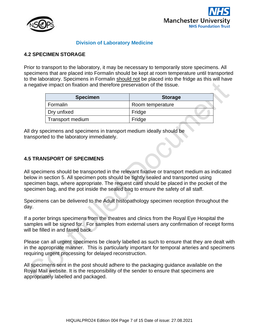



#### <span id="page-6-0"></span>**4.2 SPECIMEN STORAGE**

Prior to transport to the laboratory, it may be necessary to temporarily store specimens. All specimens that are placed into Formalin should be kept at room temperature until transported to the laboratory. Specimens in Formalin should not be placed into the fridge as this will have a negative impact on fixation and therefore preservation of the tissue.

| <b>Specimen</b>         | <b>Storage</b>   |
|-------------------------|------------------|
| Formalin                | Room temperature |
| Dry unfixed             | Fridge           |
| <b>Transport medium</b> | Fridge           |

All dry specimens and specimens in transport medium ideally should be transported to the laboratory immediately.

# <span id="page-6-1"></span>**4.5 TRANSPORT OF SPECIMENS**

All specimens should be transported in the relevant fixative or transport medium as indicated below in section 5. All specimen pots should be tightly sealed and transported using specimen bags, where appropriate. The request card should be placed in the pocket of the specimen bag, and the pot inside the sealed bag to ensure the safety of all staff.

Specimens can be delivered to the Adult histopathology specimen reception throughout the day.

If a porter brings specimens from the theatres and clinics from the Royal Eye Hospital the samples will be signed for. For samples from external users any confirmation of receipt forms will be filled in and faxed back.

Please can all urgent specimens be clearly labelled as such to ensure that they are dealt with in the appropriate manner. This is particularly important for temporal arteries and specimens requiring urgent processing for delayed reconstruction.

All specimens sent in the post should adhere to the packaging guidance available on the Royal Mail website. It is the responsibility of the sender to ensure that specimens are appropriately labelled and packaged.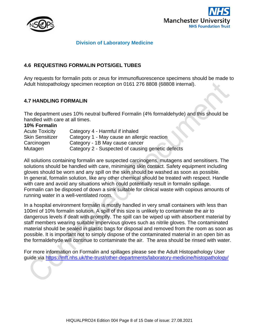



# <span id="page-7-0"></span>**4.6 REQUESTING FORMALIN POTS/GEL TUBES**

Any requests for formalin pots or zeus for immunofluorescence specimens should be made to Adult histopathology specimen reception on 0161 276 8808 (68808 internal).

#### <span id="page-7-1"></span>**4.7 HANDLING FORMALIN**

The department uses 10% neutral buffered Formalin (4% formaldehyde) and this should be handled with care at all times.

|  | 10% Formalin |
|--|--------------|
|--|--------------|

| <b>Acute Toxicity</b>  | Category 4 - Harmful if inhaled                   |
|------------------------|---------------------------------------------------|
| <b>Skin Sensitizer</b> | Category 1 - May cause an allergic reaction       |
| Carcinogen             | Category - 1B May cause cancer                    |
| Mutagen                | Category 2 - Suspected of causing genetic defects |

All solutions containing formalin are suspected carcinogens, mutagens and sensitisers. The solutions should be handled with care, minimising skin contact. Safety equipment including gloves should be worn and any spill on the skin should be washed as soon as possible. In general, formalin solution, like any other chemical should be treated with respect. Handle with care and avoid any situations which could potentially result in formalin spillage. Formalin can be disposed of down a sink suitable for clinical waste with copious amounts of running water in a well-ventilated room.

In a hospital environment formalin is mostly handled in very small containers with less than 100ml of 10% formalin solution. A spill of this size is unlikely to contaminate the air to dangerous levels if dealt with promptly. The spill can be wiped up with absorbent material by staff members wearing suitable impervious gloves such as nitrile gloves. The contaminated material should be sealed in plastic bags for disposal and removed from the room as soon as possible. It is important not to simply dispose of the contaminated material in an open bin as the formaldehyde will continue to contaminate the air. The area should be rinsed with water.

For more information on Formalin and spillages please see the Adult Histopathology User guide via<https://mft.nhs.uk/the-trust/other-departments/laboratory-medicine/histopathology/>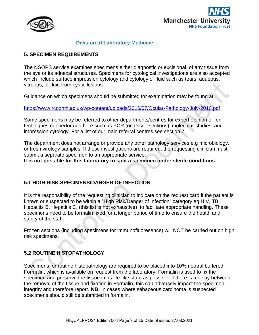



#### <span id="page-8-0"></span>**5. SPECIMEN REQUIREMENTS**

The NSOPS service examines specimens either diagnostic or excisional, of any tissue from the eye or its adnexal structures. Specimens for cytological investigations are also accepted which include surface impression cytology and cytology of fluid such as tears, aqueous, vitreous, or fluid from cystic lesions.

Guidance on which specimens should be submitted for examination may be found at:

<https://www.rcophth.ac.uk/wp-content/uploads/2016/07/Ocular-Pathology-July-2016.pdf>

Some specimens may be referred to other departments/centres for expert opinion or for techniques not performed here such as PCR (on tissue sections), molecular studies, and impression cytology. For a list of our main referral centres see section 7.

The department does not arrange or provide any other pathology services e.g microbiology, or fresh virology samples. If these investigations are required, the requesting clinician must submit a separate specimen to an appropriate service.

**It is not possible for this laboratory to split a specimen under sterile conditions.**

#### <span id="page-8-1"></span>**5.1 HIGH RISK SPECIMENS/DANGER OF INFECTION**

It is the responsibility of the requesting clinician to indicate on the request card if the patient is known or suspected to be within a "High Risk/Danger of Infection" category eg HIV, TB, Hepatitis B, Hepatitis C, (this list is not exhaustive) to facilitate appropriate handling. These specimens need to be formalin fixed for a longer period of time to ensure the health and safety of the staff.

Frozen sections (including specimens for immunofluoresence) will NOT be carried out on high risk specimens.

# <span id="page-8-2"></span>**5.2 ROUTINE HISTOPATHOLOGY**

Specimens for routine histopathology are required to be placed into 10% neutral buffered Formalin, which is available on request from the laboratory. Formalin is used to fix the specimen and preserve the tissue in as life-like state as possible. If there is a delay between the removal of the tissue and fixation in Formalin, this can adversely impact the specimen integrity and therefore report. **NB:** In cases where sebaceous carcinoma is suspected specimens should still be submitted in formalin.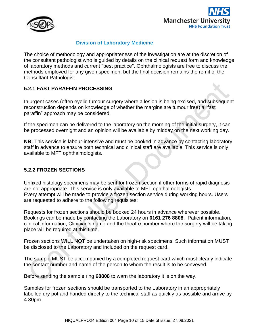



The choice of methodology and appropriateness of the investigation are at the discretion of the consultant pathologist who is guided by details on the clinical request form and knowledge of laboratory methods and current "best practice". Ophthalmologists are free to discuss the methods employed for any given specimen, but the final decision remains the remit of the Consultant Pathologist.

#### <span id="page-9-0"></span>**5.2.1 FAST PARAFFIN PROCESSING**

In urgent cases (often eyelid tumour surgery where a lesion is being excised, and subsequent reconstruction depends on knowledge of whether the margins are tumour free) a "fast paraffin" approach may be considered.

If the specimen can be delivered to the laboratory on the morning of the initial surgery, it can be processed overnight and an opinion will be available by midday on the next working day.

**NB:** This service is labour-intensive and must be booked in advance by contacting laboratory staff in advance to ensure both technical and clinical staff are available. This service is only available to MFT ophthalmologists.

#### <span id="page-9-1"></span>**5.2.2 FROZEN SECTIONS**

Unfixed histology specimens may be sent for frozen section if other forms of rapid diagnosis are not appropriate. This service is only available to MFT ophthalmologists. Every attempt will be made to provide a frozen section service during working hours. Users are requested to adhere to the following requisites:

Requests for frozen sections should be booked 24 hours in advance wherever possible. Bookings can be made by contacting the Laboratory on **0161 276 8808**. Patient information, clinical information, Clinician's name and the theatre number where the surgery will be taking place will be required at this time.

Frozen sections WILL NOT be undertaken on high-risk specimens. Such information MUST be disclosed to the Laboratory and included on the request card.

The sample MUST be accompanied by a completed request card which must clearly indicate the contact number and name of the person to whom the result is to be conveyed.

Before sending the sample ring **68808** to warn the laboratory it is on the way.

Samples for frozen sections should be transported to the Laboratory in an appropriately labelled dry pot and handed directly to the technical staff as quickly as possible and arrive by 4.30pm.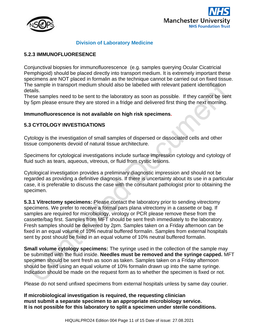



#### <span id="page-10-0"></span>**5.2.3 IMMUNOFLUORESENCE**

Conjunctival biopsies for immunofluorescence (e.g. samples querying Ocular Cicatricial Pemphigoid) should be placed directly into transport medium. It is extremely important these specimens are NOT placed in formalin as the technique cannot be carried out on fixed tissue. The sample in transport medium should also be labelled with relevant patient identification details.

These samples need to be sent to the laboratory as soon as possible. If they cannot be sent by 5pm please ensure they are stored in a fridge and delivered first thing the next morning.

#### **Immunofluorescence is not available on high risk specimens.**

#### <span id="page-10-1"></span>**5.3 CYTOLOGY INVESTIGATIONS**

Cytology is the investigation of small samples of dispersed or dissociated cells and other tissue components devoid of natural tissue architecture.

Specimens for cytological investigations include surface impression cytology and cytology of fluid such as tears, aqueous, vitreous, or fluid from cystic lesions.

Cytological investigation provides a preliminary diagnostic impression and should not be regarded as providing a definitive diagnosis. If there is uncertainty about its use in a particular case, it is preferable to discuss the case with the consultant pathologist prior to obtaining the specimen.

**5.3.1 Vitrectomy specimens:** Please contact the laboratory prior to sending vitrectomy specimens. We prefer to receive a formal pars plana vitrectomy in a cassette or bag. If samples are required for microbiology, virology or PCR please remove these from the cassette/bag first. Samples from MFT should be sent fresh immediately to the laboratory. Fresh samples should be delivered by 2pm. Samples taken on a Friday afternoon can be fixed in an equal volume of 10% neutral buffered formalin. Samples from external hospitals sent by post should be fixed in an equal volume of 10% neutral buffered formalin.

**Small volume cytology specimens:** The syringe used in the collection of the sample may be submitted with the fluid inside. **Needles must be removed and the syringe capped.** MFT specimen should be sent fresh as soon as taken. Samples taken on a Friday afternoon should be fixed using an equal volume of 10% formalin drawn up into the same syringe. Indication should be made on the request form as to whether the specimen is fixed or not.

Please do not send unfixed specimens from external hospitals unless by same day courier.

**If microbiological investigation is required, the requesting clinician must submit a separate specimen to an appropriate microbiology service. It is not possible for this laboratory to split a specimen under sterile conditions.**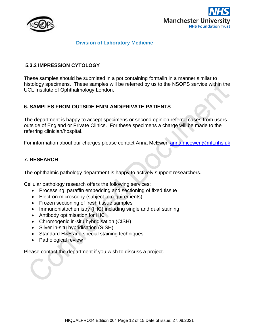



#### <span id="page-11-0"></span>**5.3.2 IMPRESSION CYTOLOGY**

These samples should be submitted in a pot containing formalin in a manner similar to histology specimens. These samples will be referred by us to the NSOPS service within the UCL Institute of Ophthalmology London.

#### <span id="page-11-1"></span>**6. SAMPLES FROM OUTSIDE ENGLAND/PRIVATE PATIENTS**

The department is happy to accept specimens or second opinion referral cases from users outside of England or Private Clinics. For these specimens a charge will be made to the referring clinician/hospital.

For information about our charges please contact Anna McEwen [anna.mcewen@mft.nhs.uk](mailto:anna.mcewen@mft.nhs.uk)

#### <span id="page-11-2"></span>**7. RESEARCH**

The ophthalmic pathology department is happy to actively support researchers.

Cellular pathology research offers the following services:

- Processing, paraffin embedding and sectioning of fixed tissue
- Electron microscopy (subject to requirements)
- Frozen sectioning of fresh tissue samples
- Immunohistochemistry (IHC) including single and dual staining
- Antibody optimisation for IHC
- Chromogenic in-situ hybridisation (CISH)
- Silver in-situ hybridisation (SISH)
- Standard H&E and special staining techniques
- Pathological review

<span id="page-11-3"></span>Please contact the department if you wish to discuss a project.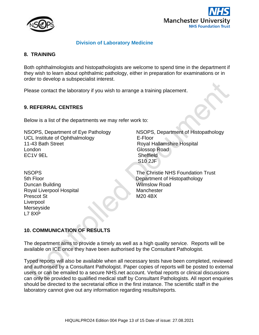



#### **8. TRAINING**

Both ophthalmologists and histopathologists are welcome to spend time in the department if they wish to learn about ophthalmic pathology, either in preparation for examinations or in order to develop a subspecialist interest.

Please contact the laboratory if you wish to arrange a training placement.

#### <span id="page-12-0"></span>**9. REFERRAL CENTRES**

Below is a list of the departments we may refer work to:

UCL Institute of Ophthalmology **E-Floor** 11-43 Bath Street **Royal Hallamshire Hospital** London **Contract Contract Contract Contract Contract Contract Contract Contract Contract Contract Contract Contract Contract Contract Contract Contract Contract Contract Contract Contract Contract Contract Contract Contrac** EC1V 9EL Sheffield

Duncan Building New York 1989, New York 1989, New York 1989, New York 1989, New York 1989, New York 1989, New York 1989, New York 1989, New York 1989, New York 1989, New York 1989, New York 1989, New York 1989, New York 19 Royal Liverpool Hospital Manchester Prescot St M20 4BX **Liverpool** Merseyside L7 8XP

NSOPS, Department of Eye Pathology NSOPS, Department of Histopathology S10 2JF

NSOPS The Christie NHS Foundation Trust 5th Floor Department of Histopathology

# <span id="page-12-1"></span>**10. COMMUNICATION OF RESULTS**

The department aims to provide a timely as well as a high quality service. Reports will be available on ICE once they have been authorised by the Consultant Pathologist.

Typed reports will also be available when all necessary tests have been completed, reviewed and authorised by a Consultant Pathologist. Paper copies of reports will be posted to external users or can be emailed to a secure NHS.net account. Verbal reports or clinical discussions can only be provided to qualified medical staff by Consultant Pathologists. All report enquiries should be directed to the secretarial office in the first instance. The scientific staff in the laboratory cannot give out any information regarding results/reports.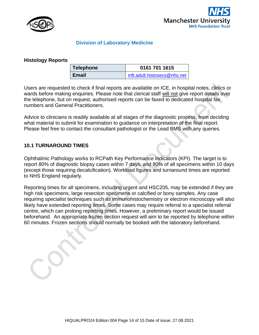



#### **Histology Reports**

| Telephone    | 0161 701 1615               |
|--------------|-----------------------------|
| <b>Email</b> | mft.adult.histosecs@nhs.net |

Users are requested to check if final reports are available on ICE, in hospital notes, clinics or wards before making enquiries. Please note that clerical staff will not give report details over the telephone, but on request, authorised reports can be faxed to dedicated hospital fax numbers and General Practitioners.

Advice to clinicians is readily available at all stages of the diagnostic process, from deciding what material to submit for examination to guidance on interpretation of the final report. Please feel free to contact the consultant pathologist or the Lead BMS with any queries.

#### <span id="page-13-0"></span>**10.1 TURNAROUND TIMES**

Ophthalmic Pathology works to RCPath Key Performance Indicators (KPI). The target is to report 80% of diagnostic biopsy cases within 7 days, and 80% of all specimens within 10 days (except those requiring decalcification). Workload figures and turnaround times are reported to NHS England regularly.

Reporting times for all specimens, including urgent and HSC205, may be extended if they are high risk specimens, large resection specimens or calcified or bony samples. Any case requiring specialist techniques such as immunohistochemistry or electron microscopy will also likely have extended reporting times. Some cases may require referral to a specialist referral centre, which can prolong reporting times. However, a preliminary report would be issued beforehand. An appropriate frozen section request will aim to be reported by telephone within 60 minutes. Frozen sections should normally be booked with the laboratory beforehand.